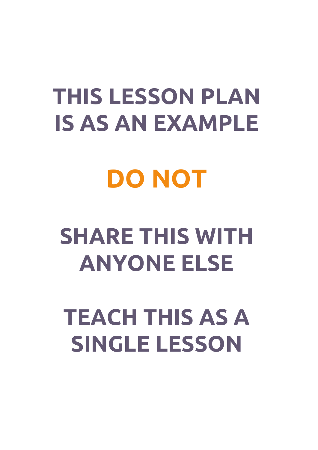# **THIS LESSON PLAN IS AS AN EXAMPLE**

# **DO NOT**

# **SHARE THIS WITH ANYONE ELSE**

# **TEACH THIS AS A SINGLE LESSON**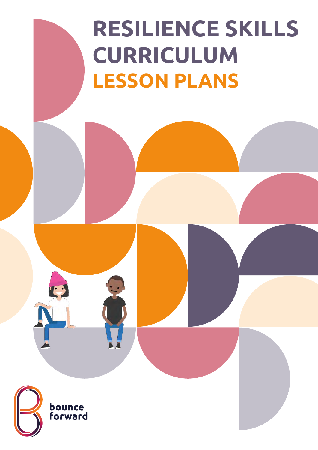# **RESILIENCE SKILLS CURRICULUM LESSON PLANS**



123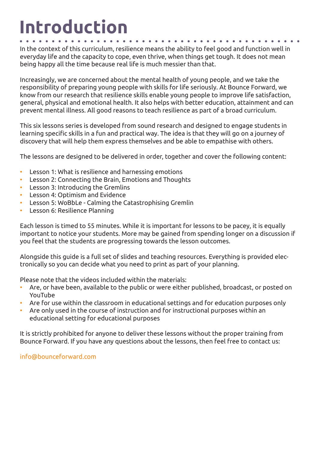## **Introduction**

In the context of this curriculum, resilience means the ability to feel good and function well in everyday life and the capacity to cope, even thrive, when things get tough. It does not mean being happy all the time because real life is much messier than that.

Increasingly, we are concerned about the mental health of young people, and we take the responsibility of preparing young people with skills for life seriously. At Bounce Forward, we know from our research that resilience skills enable young people to improve life satisfaction, general, physical and emotional health. It also helps with better education, attainment and can prevent mental illness. All good reasons to teach resilience as part of a broad curriculum.

This six lessons series is developed from sound research and designed to engage students in learning specific skills in a fun and practical way. The idea is that they will go on a journey of discovery that will help them express themselves and be able to empathise with others.

The lessons are designed to be delivered in order, together and cover the following content:

- Lesson 1: What is resilience and harnessing emotions
- Lesson 2: Connecting the Brain, Emotions and Thoughts
- Lesson 3: Introducing the Gremlins
- Lesson 4: Optimism and Evidence
- Lesson 5: WoBbLe Calming the Catastrophising Gremlin
- Lesson 6: Resilience Planning

Each lesson is timed to 55 minutes. While it is important for lessons to be pacey, it is equally important to notice your students. More may be gained from spending longer on a discussion if you feel that the students are progressing towards the lesson outcomes.

Alongside this guide is a full set of slides and teaching resources. Everything is provided electronically so you can decide what you need to print as part of your planning.

Please note that the videos included within the materials:

- Are, or have been, available to the public or were either published, broadcast, or posted on YouTube
- Are for use within the classroom in educational settings and for education purposes only
- Are only used in the course of instruction and for instructional purposes within an educational setting for educational purposes

It is strictly prohibited for anyone to deliver these lessons without the proper training from Bounce Forward. If you have any questions about the lessons, then feel free to contact us:

#### info@bounceforward.com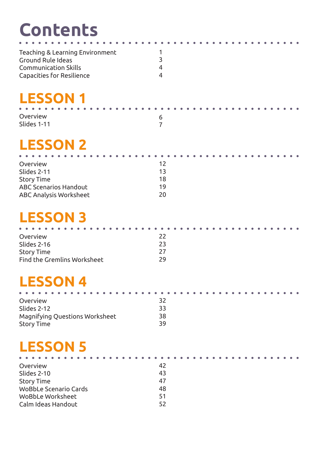## **Contents**

| <b>Teaching &amp; Learning Environment</b> |  |
|--------------------------------------------|--|
| <b>Ground Rule Ideas</b>                   |  |
| <b>Communication Skills</b>                |  |
| <b>Capacities for Resilience</b>           |  |

### **LESSON 1**

| Overview    |  |
|-------------|--|
| Slides 1-11 |  |

. . . . . . . . . .

. . . . . . . . . .

### **LESSON 2**

| Overview                      | 12 |
|-------------------------------|----|
| Slides 2-11                   | 13 |
| <b>Story Time</b>             | 18 |
| <b>ABC Scenarios Handout</b>  | 19 |
| <b>ABC Analysis Worksheet</b> | 20 |

### **LESSON 3**

| Overview                    | 22 |  |
|-----------------------------|----|--|
| Slides 2-16                 | 23 |  |
| <b>Story Time</b>           | 27 |  |
| Find the Gremlins Worksheet | 29 |  |

### **LESSON 4**

| Overview                       | 32 |
|--------------------------------|----|
| Slides 2-12                    | 33 |
| Magnifying Questions Worksheet | 38 |
| <b>Story Time</b>              | 39 |
|                                |    |

## **LESSON 5**

| 42 |  |
|----|--|
| 43 |  |
| 47 |  |
| 48 |  |
| 51 |  |
| 52 |  |
|    |  |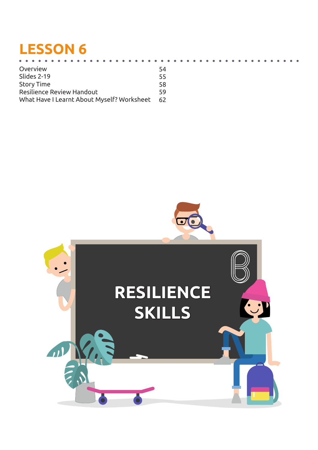## **LESSON 6**

| Overview                                   | 54  |
|--------------------------------------------|-----|
| Slides 2-19                                | 55  |
| <b>Story Time</b>                          | 58  |
| Resilience Review Handout                  | 59  |
| What Have I Learnt About Myself? Worksheet | -62 |

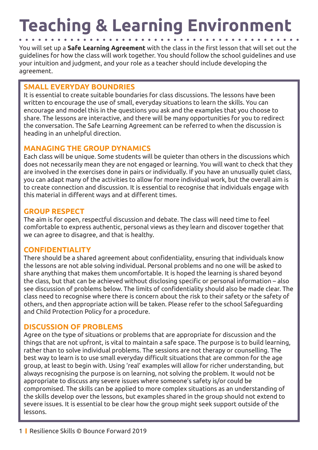## **Teaching & Learning Environment**

You will set up a **Safe Learning Agreement** with the class in the first lesson that will set out the guidelines for how the class will work together. You should follow the school guidelines and use your intuition and judgment, and your role as a teacher should include developing the agreement.

#### **SMALL EVERYDAY BOUNDRIES**

It is essential to create suitable boundaries for class discussions. The lessons have been written to encourage the use of small, everyday situations to learn the skills. You can encourage and model this in the questions you ask and the examples that you choose to share. The lessons are interactive, and there will be many opportunities for you to redirect the conversation. The Safe Learning Agreement can be referred to when the discussion is heading in an unhelpful direction.

#### **MANAGING THE GROUP DYNAMICS**

Each class will be unique. Some students will be quieter than others in the discussions which does not necessarily mean they are not engaged or learning. You will want to check that they are involved in the exercises done in pairs or individually. If you have an unusually quiet class, you can adapt many of the activities to allow for more individual work, but the overall aim is to create connection and discussion. It is essential to recognise that individuals engage with this material in different ways and at different times.

#### **GROUP RESPECT**

The aim is for open, respectful discussion and debate. The class will need time to feel comfortable to express authentic, personal views as they learn and discover together that we can agree to disagree, and that is healthy.

#### **CONFIDENTIALITY**

There should be a shared agreement about confidentiality, ensuring that individuals know the lessons are not able solving individual. Personal problems and no one will be asked to share anything that makes them uncomfortable. It is hoped the learning is shared beyond the class, but that can be achieved without disclosing specific or personal information – also see discussion of problems below. The limits of confidentiality should also be made clear. The class need to recognise where there is concern about the risk to their safety or the safety of others, and then appropriate action will be taken. Please refer to the school Safeguarding and Child Protection Policy for a procedure.

#### **DISCUSSION OF PROBLEMS**

Agree on the type of situations or problems that are appropriate for discussion and the things that are not upfront, is vital to maintain a safe space. The purpose is to build learning, rather than to solve individual problems. The sessions are not therapy or counselling. The best way to learn is to use small everyday difficult situations that are common for the age group, at least to begin with. Using 'real' examples will allow for richer understanding, but always recognising the purpose is on learning, not solving the problem. It would not be appropriate to discuss any severe issues where someone's safety is/or could be compromised. The skills can be applied to more complex situations as an understanding of the skills develop over the lessons, but examples shared in the group should not extend to severe issues. It is essential to be clear how the group might seek support outside of the lessons.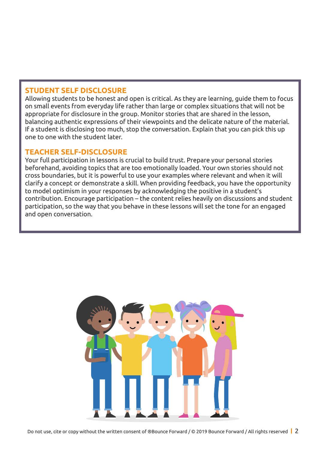#### **STUDENT SELF DISCLOSURE**

Allowing students to be honest and open is critical. As they are learning, guide them to focus on small events from everyday life rather than large or complex situations that will not be appropriate for disclosure in the group. Monitor stories that are shared in the lesson, balancing authentic expressions of their viewpoints and the delicate nature of the material. If a student is disclosing too much, stop the conversation. Explain that you can pick this up one to one with the student later.

#### **TEACHER SELF-DISCLOSURE**

Your full participation in lessons is crucial to build trust. Prepare your personal stories beforehand, avoiding topics that are too emotionally loaded. Your own stories should not cross boundaries, but it is powerful to use your examples where relevant and when it will clarify a concept or demonstrate a skill. When providing feedback, you have the opportunity to model optimism in your responses by acknowledging the positive in a student's contribution. Encourage participation – the content relies heavily on discussions and student participation, so the way that you behave in these lessons will set the tone for an engaged and open conversation.

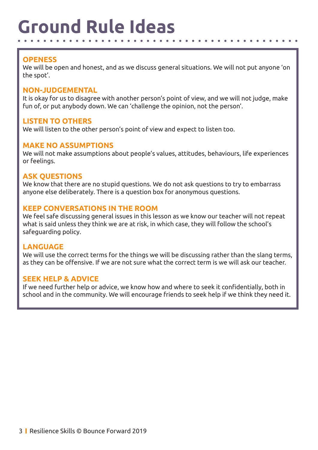## **Ground Rule Ideas**

#### **OPENESS**

We will be open and honest, and as we discuss general situations. We will not put anyone 'on the spot'.

#### **NON-JUDGEMENTAL**

It is okay for us to disagree with another person's point of view, and we will not judge, make fun of, or put anybody down. We can 'challenge the opinion, not the person'.

#### **LISTEN TO OTHERS**

We will listen to the other person's point of view and expect to listen too.

#### **MAKE NO ASSUMPTIONS**

We will not make assumptions about people's values, attitudes, behaviours, life experiences or feelings.

#### **ASK QUESTIONS**

We know that there are no stupid questions. We do not ask questions to try to embarrass anyone else deliberately. There is a question box for anonymous questions.

#### **KEEP CONVERSATIONS IN THE ROOM**

We feel safe discussing general issues in this lesson as we know our teacher will not repeat what is said unless they think we are at risk, in which case, they will follow the school's safeguarding policy.

#### **LANGUAGE**

We will use the correct terms for the things we will be discussing rather than the slang terms, as they can be offensive. If we are not sure what the correct term is we will ask our teacher.

#### **SEEK HELP & ADVICE**

If we need further help or advice, we know how and where to seek it confidentially, both in school and in the community. We will encourage friends to seek help if we think they need it.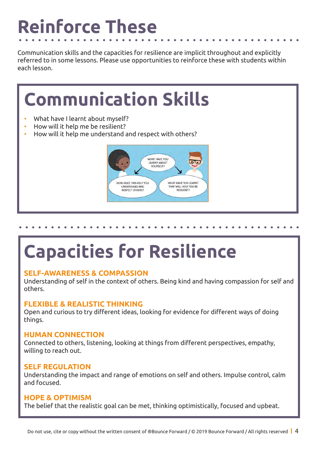## **Reinforce These**

Communication skills and the capacities for resilience are implicit throughout and explicitly referred to in some lessons. Please use opportunities to reinforce these with students within each lesson.



## **Capacities for Resilience**

#### **SELF-AWARENESS & COMPASSION**

Understanding of self in the context of others. Being kind and having compassion for self and others.

#### **FLEXIBLE & REALISTIC THINKING**

Open and curious to try different ideas, looking for evidence for different ways of doing things.

#### **HUMAN CONNECTION**

Connected to others, listening, looking at things from different perspectives, empathy, willing to reach out.

#### **SELF REGULATION**

Understanding the impact and range of emotions on self and others. Impulse control, calm and focused.

#### **HOPE & OPTIMISM**

The belief that the realistic goal can be met, thinking optimistically, focused and upbeat.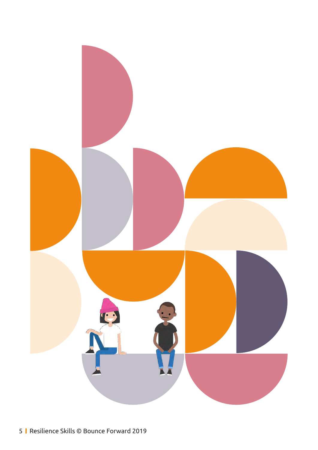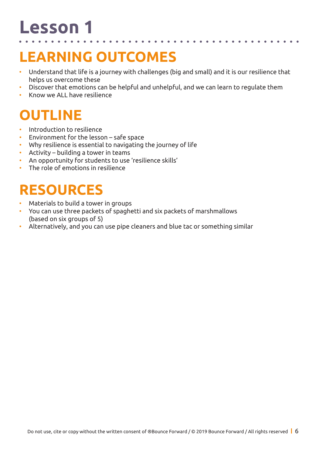## **Lesson 1**

### **LEARNING OUTCOMES**

- Understand that life is a journey with challenges (big and small) and it is our resilience that helps us overcome these
- Discover that emotions can be helpful and unhelpful, and we can learn to regulate them
- Know we ALL have resilience

### **OUTLINE**

- Introduction to resilience
- Environment for the lesson safe space
- Why resilience is essential to navigating the journey of life
- Activity building a tower in teams
- An opportunity for students to use 'resilience skills'
- The role of emotions in resilience

### **RESOURCES**

- Materials to build a tower in groups
- You can use three packets of spaghetti and six packets of marshmallows (based on six groups of 5)
- Alternatively, and you can use pipe cleaners and blue tac or something similar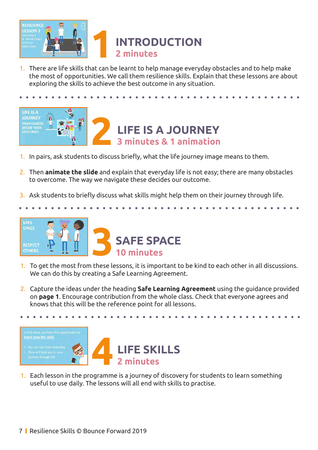

1. There are life skills that can be learnt to help manage everyday obstacles and to help make the most of opportunities. We call them resilience skills. Explain that these lessons are about exploring the skills to achieve the best outcome in any situation.



- 1. In pairs, ask students to discuss briefly, what the life journey image means to them.
- 2. Then **animate the slide** and explain that everyday life is not easy; there are many obstacles to overcome. The way we navigate these decides our outcome.
- 3. Ask students to briefly discuss what skills might help them on their journey through life.

SAFE



- 1. To get the most from these lessons, it is important to be kind to each other in all discussions. We can do this by creating a Safe Learning Agreement.
- 2. Capture the ideas under the heading **Safe Learning Agreement** using the guidance provided on **page 1**. Encourage contribution from the whole class. Check that everyone agrees and knows that this will be the reference point for all lessons.



1. Each lesson in the programme is a journey of discovery for students to learn something useful to use daily. The lessons will all end with skills to practise.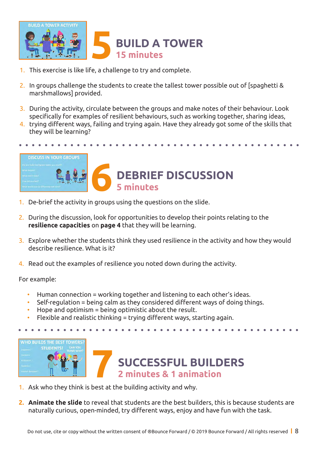

- 1. This exercise is like life, a challenge to try and complete.
- 2. In groups challenge the students to create the tallest tower possible out of [spaghetti & marshmallows] provided.
- 3. During the activity, circulate between the groups and make notes of their behaviour. Look specifically for examples of resilient behaviours, such as working together, sharing ideas,
- 4. trying different ways, failing and trying again. Have they already got some of the skills that they will be learning?



- 1. De-brief the activity in groups using the questions on the slide.
- 2. During the discussion, look for opportunities to develop their points relating to the **resilience capacities** on **page 4** that they will be learning.

**5 minutes**

- 3. Explore whether the students think they used resilience in the activity and how they would describe resilience. What is it?
- 4. Read out the examples of resilience you noted down during the activity.

For example:

- Human connection = working together and listening to each other's ideas.
- Self-regulation = being calm as they considered different ways of doing things.
- Hope and optimism = being optimistic about the result.
- Flexible and realistic thinking = trying different ways, starting again.



- 1. Ask who they think is best at the building activity and why.
- **2. Animate the slide** to reveal that students are the best builders, this is because students are naturally curious, open-minded, try different ways, enjoy and have fun with the task.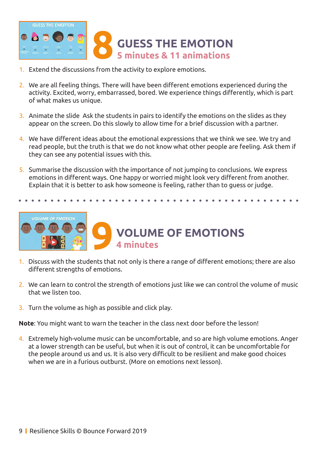

- 1. Extend the discussions from the activity to explore emotions.
- 2. We are all feeling things. There will have been different emotions experienced during the activity. Excited, worry, embarrassed, bored. We experience things differently, which is part of what makes us unique.
- 3. Animate the slide Ask the students in pairs to identify the emotions on the slides as they appear on the screen. Do this slowly to allow time for a brief discussion with a partner.
- 4. We have different ideas about the emotional expressions that we think we see. We try and read people, but the truth is that we do not know what other people are feeling. Ask them if they can see any potential issues with this.
- 5. Summarise the discussion with the importance of not jumping to conclusions. We express emotions in different ways. One happy or worried might look very different from another. Explain that it is better to ask how someone is feeling, rather than to guess or judge.



- 1. Discuss with the students that not only is there a range of different emotions; there are also different strengths of emotions.
- 2. We can learn to control the strength of emotions just like we can control the volume of music that we listen too.
- 3. Turn the volume as high as possible and click play.

**Note**: You might want to warn the teacher in the class next door before the lesson!

4. Extremely high-volume music can be uncomfortable, and so are high volume emotions. Anger at a lower strength can be useful, but when it is out of control, it can be uncomfortable for the people around us and us. It is also very difficult to be resilient and make good choices when we are in a furious outburst. (More on emotions next lesson).